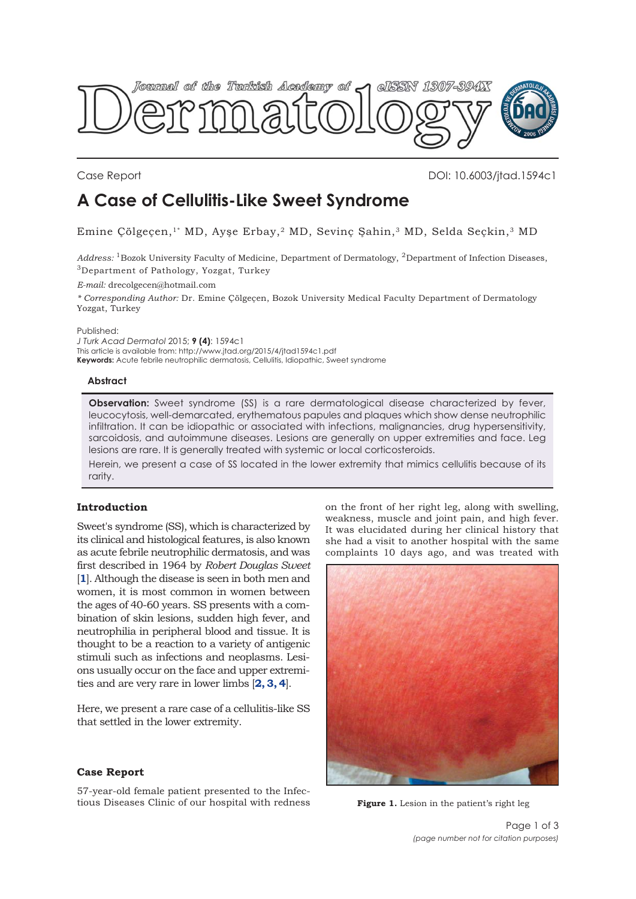<span id="page-0-0"></span>

Case Report DOI: 10.6003/jtad.1594c1

# **A Case of Cellulitis-Like Sweet Syndrome**

Emine Çölgeçen,<sup>1\*</sup> MD, Ayşe Erbay,<sup>2</sup> MD, Sevinç Şahin,<sup>3</sup> MD, Selda Seçkin,<sup>3</sup> MD

*Address:* 1Bozok University Faculty of Medicine, Department of Dermatology, 2Department of Infection Diseases, 3Department of Pathology, Yozgat, Turkey

*E-mail:* drecolgecen@hotmail.com

*\* Corresponding Author:* Dr. Emine Çölgeçen, Bozok University Medical Faculty Department of Dermatology Yozgat, Turkey

Published:

*J Turk Acad Dermatol* 2015; **9 (4)**: 1594c1 This article is available from: http://www.jtad.org/2015/4/jtad1594c1.pdf **Keywords:** Acute febrile neutrophilic dermatosis, Cellulitis, Idiopathic, Sweet syndrome

## **Abstract**

**Observation:** Sweet syndrome (SS) is a rare dermatological disease characterized by fever, leucocytosis, well-demarcated, erythematous papules and plaques which show dense neutrophilic infiltration. It can be idiopathic or associated with infections, malignancies, drug hypersensitivity, sarcoidosis, and autoimmune diseases. Lesions are generally on upper extremities and face. Leg lesions are rare. It is generally treated with systemic or local corticosteroids.

Herein, we present a case of SS located in the lower extremity that mimics cellulitis because of its rarity.

## **Introduction**

Sweet's syndrome (SS), which is characterized by its clinical and histological features, is also known as acute febrile neutrophilic dermatosis, and was first described in 1964 by *Robert Douglas Sweet* [**[1](#page-2-0)**]. Although the disease is seen in both men and women, it is most common in women between the ages of 40-60 years. SS presents with a combination of skin lesions, sudden high fever, and neutrophilia in peripheral blood and tissue. It is thought to be a reaction to a variety of antigenic stimuli such as infections and neoplasms. Lesions usually occur on the face and upper extremities and are very rare in lower limbs [**[2, 3, 4](#page-2-0)**].

Here, we present a rare case of a cellulitis-like SS that settled in the lower extremity.

## **Case Report**

57-year-old female patient presented to the Infectious Diseases Clinic of our hospital with redness on the front of her right leg, along with swelling, weakness, muscle and joint pain, and high fever. It was elucidated during her clinical history that she had a visit to another hospital with the same complaints 10 days ago, and was treated with



**Figure 1.** Lesion in the patient's right leg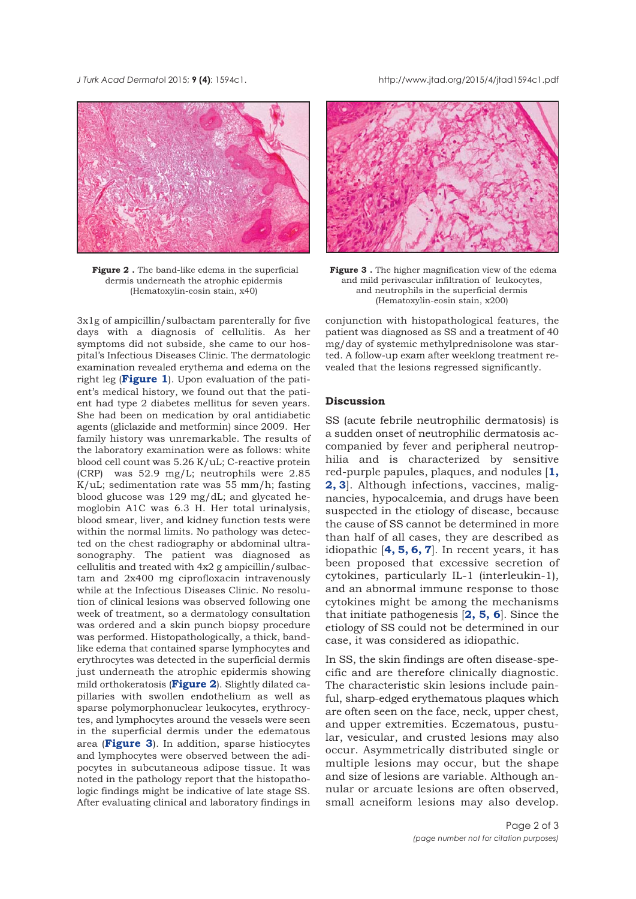*J Turk Acad Dermato*l 2015; **9 (4)**: 1594c1. http://www.jtad.org/2015/4/jtad1594c1.pdf



**Figure 2 .** The band-like edema in the superficial dermis underneath the atrophic epidermis (Hematoxylin-eosin stain, x40)

3x1g of ampicillin/sulbactam parenterally for five days with a diagnosis of cellulitis. As her symptoms did not subside, she came to our hospital's Infectious Diseases Clinic. The dermatologic examination revealed erythema and edema on the right leg (**[Figure 1](#page-0-0)**). Upon evaluation of the patient's medical history, we found out that the patient had type 2 diabetes mellitus for seven years. She had been on medication by oral antidiabetic agents (gliclazide and metformin) since 2009. Her family history was unremarkable. The results of the laboratory examination were as follows: white blood cell count was 5.26 K/uL; C-reactive protein (CRP) was 52.9 mg/L; neutrophils were 2.85 K/uL; sedimentation rate was 55 mm/h; fasting blood glucose was 129 mg/dL; and glycated hemoglobin A1C was 6.3 H. Her total urinalysis, blood smear, liver, and kidney function tests were within the normal limits. No pathology was detected on the chest radiography or abdominal ultrasonography. The patient was diagnosed as cellulitis and treated with 4x2 g ampicillin/sulbactam and 2x400 mg ciprofloxacin intravenously while at the Infectious Diseases Clinic. No resolution of clinical lesions was observed following one week of treatment, so a dermatology consultation was ordered and a skin punch biopsy procedure was performed. Histopathologically, a thick, bandlike edema that contained sparse lymphocytes and erythrocytes was detected in the superficial dermis just underneath the atrophic epidermis showing mild orthokeratosis (**Figure 2**). Slightly dilated capillaries with swollen endothelium as well as sparse polymorphonuclear leukocytes, erythrocytes, and lymphocytes around the vessels were seen in the superficial dermis under the edematous area (**Figure 3**). In addition, sparse histiocytes and lymphocytes were observed between the adipocytes in subcutaneous adipose tissue. It was noted in the pathology report that the histopathologic findings might be indicative of late stage SS. After evaluating clinical and laboratory findings in



**Figure 3 .** The higher magnification view of the edema and mild perivascular infiltration of leukocytes, and neutrophils in the superficial dermis (Hematoxylin-eosin stain, x200)

conjunction with histopathological features, the patient was diagnosed as SS and a treatment of 40 mg/day of systemic methylprednisolone was started. A follow-up exam after weeklong treatment revealed that the lesions regressed significantly.

### **Discussion**

SS (acute febrile neutrophilic dermatosis) is a sudden onset of neutrophilic dermatosis accompanied by fever and peripheral neutrophilia and is characterized by sensitive red-purple papules, plaques, and nodules [**[1,](#page-2-0) [2, 3](#page-2-0)**]. Although infections, vaccines, malignancies, hypocalcemia, and drugs have been suspected in the etiology of disease, because the cause of SS cannot be determined in more than half of all cases, they are described as idiopathic [**[4, 5, 6, 7](#page-2-0)**]. In recent years, it has been proposed that excessive secretion of cytokines, particularly IL-1 (interleukin-1), and an abnormal immune response to those cytokines might be among the mechanisms that initiate pathogenesis [**[2,](#page-2-0) [5, 6](#page-2-0)**]. Since the etiology of SS could not be determined in our case, it was considered as idiopathic.

In SS, the skin findings are often disease-specific and are therefore clinically diagnostic. The characteristic skin lesions include painful, sharp-edged erythematous plaques which are often seen on the face, neck, upper chest, and upper extremities. Eczematous, pustular, vesicular, and crusted lesions may also occur. Asymmetrically distributed single or multiple lesions may occur, but the shape and size of lesions are variable. Although annular or arcuate lesions are often observed, small acneiform lesions may also develop.